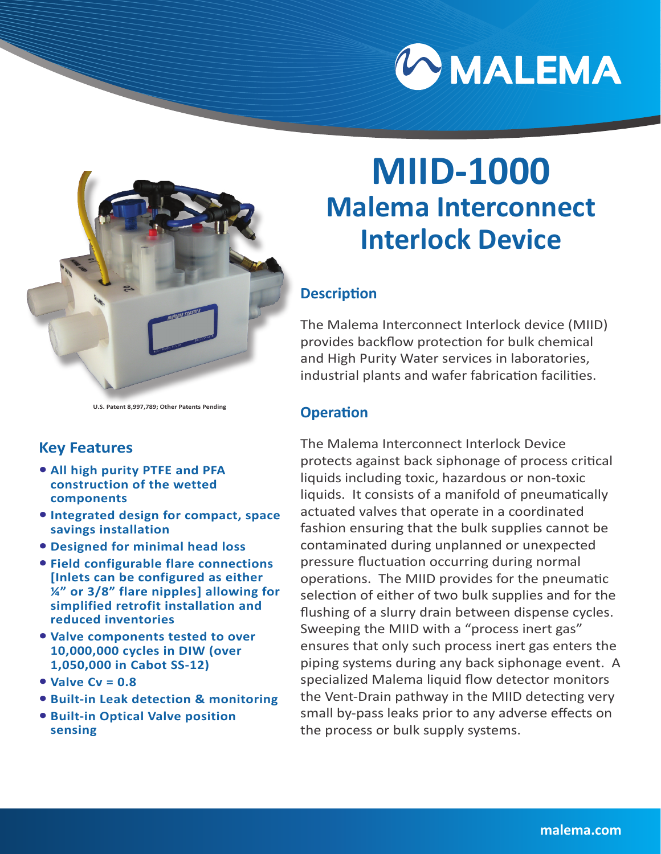



#### **U.S. Patent 8,997,789; Other Patents Pending**

### **Key Features**

- **• All high purity PTFE and PFA construction of the wetted components**
- **• Integrated design for compact, space savings installation**
- **• Designed for minimal head loss**
- **• Field configurable flare connections [Inlets can be configured as either ¼" or 3/8" flare nipples] allowing for simplified retrofit installation and reduced inventories**
- **• Valve components tested to over 10,000,000 cycles in DIW (over 1,050,000 in Cabot SS-12)**
- **• Valve Cv = 0.8**
- **• Built-in Leak detection & monitoring**
- **• Built-in Optical Valve position sensing**

# **MIID-1000 Malema Interconnect Interlock Device**

### **Description**

The Malema Interconnect Interlock device (MIID) provides backflow protection for bulk chemical and High Purity Water services in laboratories, industrial plants and wafer fabrication facilities.

#### **Operation**

The Malema Interconnect Interlock Device protects against back siphonage of process critical liquids including toxic, hazardous or non-toxic liquids. It consists of a manifold of pneumatically actuated valves that operate in a coordinated fashion ensuring that the bulk supplies cannot be contaminated during unplanned or unexpected pressure fluctuation occurring during normal operations. The MIID provides for the pneumatic selection of either of two bulk supplies and for the flushing of a slurry drain between dispense cycles. Sweeping the MIID with a "process inert gas" ensures that only such process inert gas enters the piping systems during any back siphonage event. A specialized Malema liquid flow detector monitors the Vent-Drain pathway in the MIID detecting very small by-pass leaks prior to any adverse effects on the process or bulk supply systems.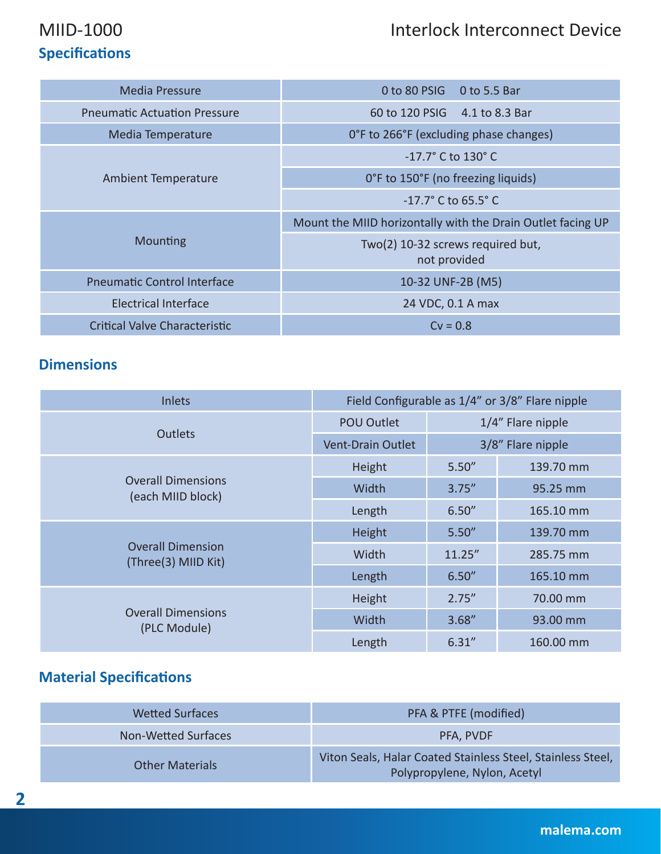# MIID-1000 Interlock Interconnect Device

# **Specifications**

| <b>Media Pressure</b>               | $0$ to 80 PSIG $0$ to 5.5 Bar                               |
|-------------------------------------|-------------------------------------------------------------|
| <b>Pneumatic Actuation Pressure</b> | 60 to 120 PSIG 4.1 to 8.3 Bar                               |
| Media Temperature                   | O°F to 266°F (excluding phase changes)                      |
|                                     | $-17.7^{\circ}$ C to 130 $^{\circ}$ C                       |
| Ambient Temperature                 | O°F to 150°F (no freezing liquids)                          |
|                                     | $-17.7^{\circ}$ C to 65.5° C                                |
|                                     | Mount the MIID horizontally with the Drain Outlet facing UP |
| Mounting                            | Two(2) 10-32 screws required but,<br>not provided           |
| <b>Pneumatic Control Interface</b>  | 10-32 UNF-2B (M5)                                           |
| <b>Electrical Interface</b>         | 24 VDC, 0.1 A max                                           |
| Critical Valve Characteristic       | $Cv = 0.8$                                                  |

### **Dimensions**

| <b>Inlets</b>                                   |                          |                   | Field Configurable as 1/4" or 3/8" Flare nipple |
|-------------------------------------------------|--------------------------|-------------------|-------------------------------------------------|
|                                                 | <b>POU Outlet</b>        | 1/4" Flare nipple |                                                 |
| <b>Outlets</b>                                  | <b>Vent-Drain Outlet</b> | 3/8" Flare nipple |                                                 |
|                                                 | Height                   | 5.50''            | 139.70 mm                                       |
| <b>Overall Dimensions</b><br>(each MIID block)  | Width                    | 3.75''            | 95.25 mm                                        |
|                                                 | Length                   | 6.50''            | 165.10 mm                                       |
|                                                 | Height                   | 5.50''            | 139.70 mm                                       |
| <b>Overall Dimension</b><br>(Three(3) MIID Kit) | Width                    | 11.25''           | 285.75 mm                                       |
|                                                 | Length                   | 6.50''            | 165.10 mm                                       |
|                                                 | Height                   | 2.75''            | 70.00 mm                                        |
| <b>Overall Dimensions</b><br>(PLC Module)       | Width                    | 3.68''            | 93.00 mm                                        |
|                                                 | Length                   | 6.31''            | 160.00 mm                                       |

# **Material Specifications**

| <b>Wetted Surfaces</b> | PFA & PTFE (modified)                                                                       |
|------------------------|---------------------------------------------------------------------------------------------|
| Non-Wetted Surfaces    | PFA, PVDF                                                                                   |
| <b>Other Materials</b> | Viton Seals, Halar Coated Stainless Steel, Stainless Steel,<br>Polypropylene, Nylon, Acetyl |